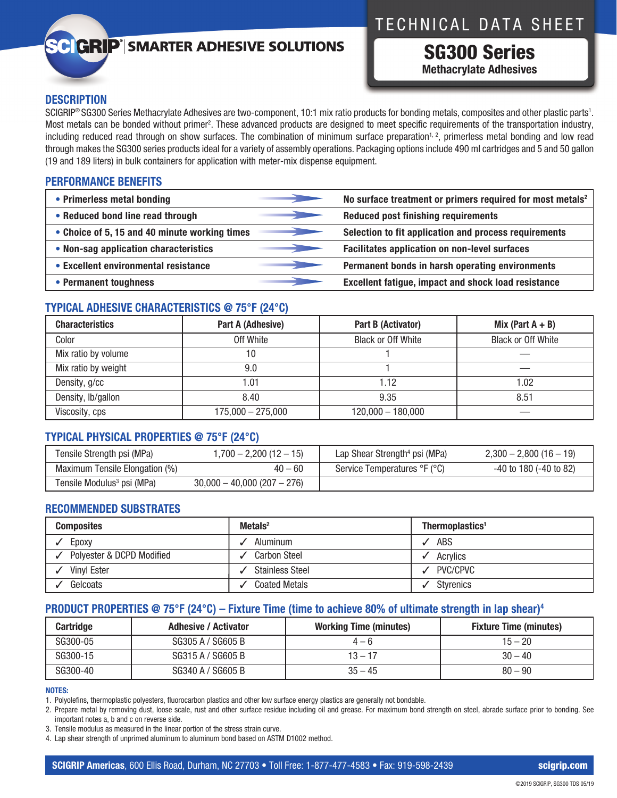# TECHNICAL DATA SHEET

## **C GRIP**<sup>®</sup> SMARTER ADHESIVE SOLUTIONS

SG300 Series **Methacrylate Adhesives**

#### **DESCRIPTION**

SCIGRIP® SG300 Series Methacrylate Adhesives are two-component, 10:1 mix ratio products for bonding metals, composites and other plastic parts1 . Most metals can be bonded without primer<sup>2</sup>. These advanced products are designed to meet specific requirements of the transportation industry, including reduced read through on show surfaces. The combination of minimum surface preparation<sup>1, 2</sup>, primerless metal bonding and low read through makes the SG300 series products ideal for a variety of assembly operations. Packaging options include 490 ml cartridges and 5 and 50 gallon (19 and 189 liters) in bulk containers for application with meter-mix dispense equipment.

#### **PERFORMANCE BENEFITS**

| • Primerless metal bonding                    | No surface treatment or primers required for most metals <sup>2</sup> |
|-----------------------------------------------|-----------------------------------------------------------------------|
| • Reduced bond line read through              | <b>Reduced post finishing requirements</b>                            |
| • Choice of 5, 15 and 40 minute working times | Selection to fit application and process requirements                 |
| • Non-sag application characteristics         | <b>Facilitates application on non-level surfaces</b>                  |
| • Excellent environmental resistance          | Permanent bonds in harsh operating environments                       |
| • Permanent toughness                         | <b>Excellent fatigue, impact and shock load resistance</b>            |

### **TYPICAL ADHESIVE CHARACTERISTICS @ 75°F (24°C)**

| <b>Characteristics</b> | Part A (Adhesive)   | Part B (Activator)        | Mix (Part $A + B$ )       |
|------------------------|---------------------|---------------------------|---------------------------|
| Color                  | Off White           | <b>Black or Off White</b> | <b>Black or Off White</b> |
| Mix ratio by volume    | 10                  |                           |                           |
| Mix ratio by weight    | 9.0                 |                           |                           |
| Density, g/cc          | 1.01                | 1.12                      | .02                       |
| Density, Ib/gallon     | 8.40                | 9.35                      | 8.51                      |
| Viscosity, cps         | $175,000 - 275,000$ | $120,000 - 180,000$       |                           |

#### **TYPICAL PHYSICAL PROPERTIES @ 75°F (24°C)**

| Tensile Strength psi (MPa)             | $1,700 - 2,200(12 - 15)$     | Lap Shear Strength <sup>4</sup> psi (MPa) | $2,300 - 2,800(16 - 19)$ |
|----------------------------------------|------------------------------|-------------------------------------------|--------------------------|
| Maximum Tensile Elongation (%)         | $40 - 60$                    | Service Temperatures °F (°C)              | $-40$ to 180 (-40 to 82) |
| Tensile Modulus <sup>3</sup> psi (MPa) | $30,000 - 40,000(207 - 276)$ |                                           |                          |

#### **RECOMMENDED SUBSTRATES**

| <b>Composites</b>         | $Metals2$              | Thermoplastics <sup>1</sup> |
|---------------------------|------------------------|-----------------------------|
| Epoxy                     | Aluminum               | <b>ABS</b>                  |
| Polyester & DCPD Modified | <b>Carbon Steel</b>    | Acrylics                    |
| <b>Vinyl Ester</b>        | <b>Stainless Steel</b> | PVC/CPVC                    |
| Gelcoats                  | <b>Coated Metals</b>   | <b>Styrenics</b>            |

### **PRODUCT PROPERTIES @ 75°F (24°C) – Fixture Time (time to achieve 80% of ultimate strength in lap shear)4**

| Cartridge | <b>Adhesive / Activator</b> | <b>Working Time (minutes)</b> | <b>Fixture Time (minutes)</b> |
|-----------|-----------------------------|-------------------------------|-------------------------------|
| SG300-05  | SG305 A / SG605 B           | $4 - 6$                       | $15 - 20$                     |
| SG300-15  | SG315 A / SG605 B           | $13 - 17$                     | $30 - 40$                     |
| SG300-40  | SG340 A / SG605 B           | $35 - 45$                     | $80 - 90$                     |

#### **NOTES:**

1. Polyolefins, thermoplastic polyesters, fluorocarbon plastics and other low surface energy plastics are generally not bondable.

2. Prepare metal by removing dust, loose scale, rust and other surface residue including oil and grease. For maximum bond strength on steel, abrade surface prior to bonding. See important notes a, b and c on reverse side.

3. Tensile modulus as measured in the linear portion of the stress strain curve.

4. Lap shear strength of unprimed aluminum to aluminum bond based on ASTM D1002 method.